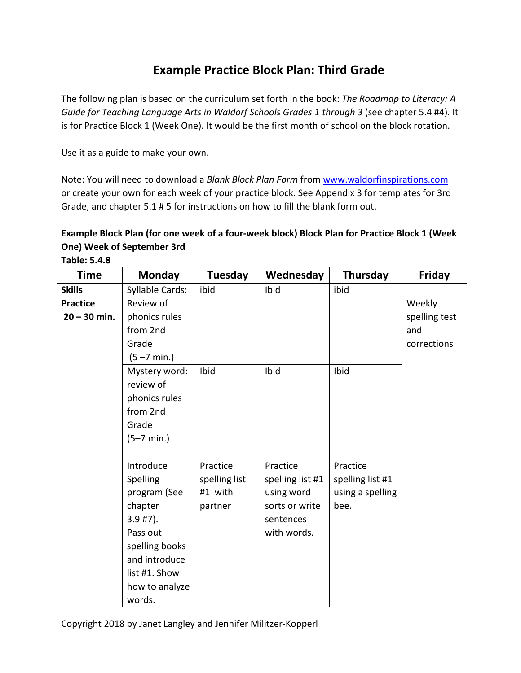## **Example Practice Block Plan: Third Grade**

The following plan is based on the curriculum set forth in the book: *The Roadmap to Literacy: A Guide for Teaching Language Arts in Waldorf Schools Grades 1 through 3* (see chapter 5.4 #4)*.* It is for Practice Block 1 (Week One). It would be the first month of school on the block rotation.

Use it as a guide to make your own.

Note: You will need to download a *Blank Block Plan Form* fro[m www.waldorfinspirations.com](http://www.waldorfinspirations.com/) or create your own for each week of your practice block. See Appendix 3 for templates for 3rd Grade, and chapter 5.1 # 5 for instructions on how to fill the blank form out.

## **Example Block Plan (for one week of a four-week block) Block Plan for Practice Block 1 (Week One) Week of September 3rd**

| <b>Time</b>                                        | <b>Monday</b>                                                                                                                                              | <b>Tuesday</b>                                  | Wednesday                                                                                | Thursday                                                 | <b>Friday</b>                                 |
|----------------------------------------------------|------------------------------------------------------------------------------------------------------------------------------------------------------------|-------------------------------------------------|------------------------------------------------------------------------------------------|----------------------------------------------------------|-----------------------------------------------|
| <b>Skills</b><br><b>Practice</b><br>$20 - 30$ min. | Syllable Cards:<br>Review of<br>phonics rules<br>from 2nd<br>Grade<br>$(5 - 7 \text{ min.})$                                                               | ibid                                            | Ibid                                                                                     | ibid                                                     | Weekly<br>spelling test<br>and<br>corrections |
|                                                    | Mystery word:<br>review of<br>phonics rules<br>from 2nd<br>Grade<br>$(5-7 min.)$                                                                           | Ibid                                            | Ibid                                                                                     | Ibid                                                     |                                               |
|                                                    | Introduce<br>Spelling<br>program (See<br>chapter<br>$3.9$ #7).<br>Pass out<br>spelling books<br>and introduce<br>list #1. Show<br>how to analyze<br>words. | Practice<br>spelling list<br>#1 with<br>partner | Practice<br>spelling list #1<br>using word<br>sorts or write<br>sentences<br>with words. | Practice<br>spelling list #1<br>using a spelling<br>bee. |                                               |

**Table: 5.4.8**